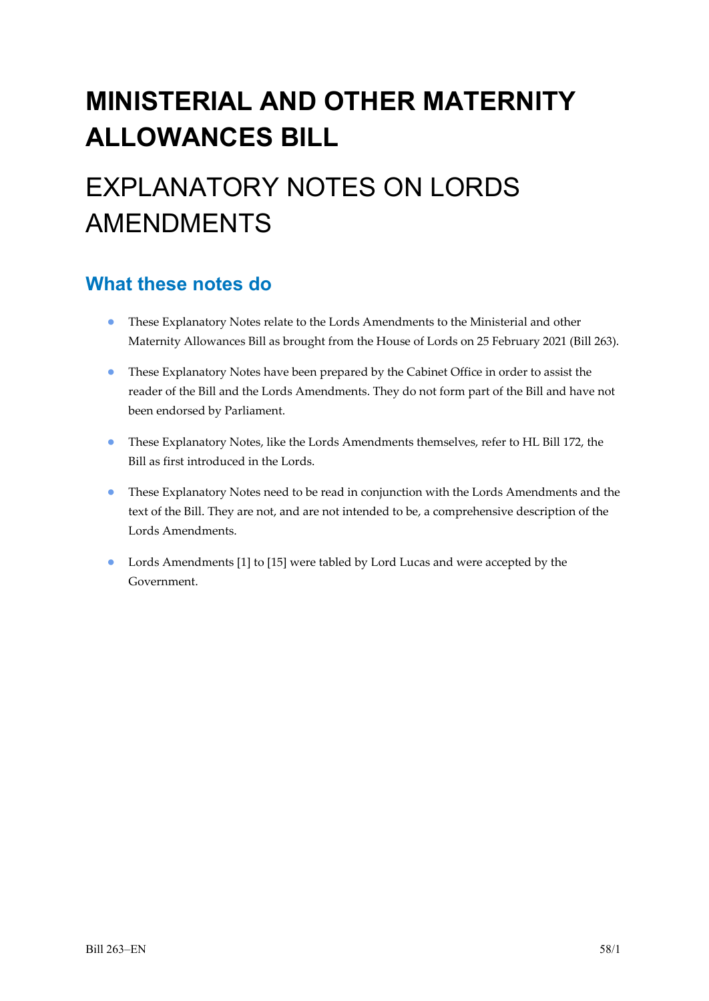# **MINISTERIAL AND OTHER MATERNITY ALLOWANCES BILL**

# EXPLANATORY NOTES ON LORDS AMENDMENTS

### **What these notes do**

- These Explanatory Notes relate to the Lords Amendments to the Ministerial and other Maternity Allowances Bill as brought from the House of Lords on 25 February 2021 (Bill 263).
- These Explanatory Notes have been prepared by the Cabinet Office in order to assist the reader of the Bill and the Lords Amendments. They do not form part of the Bill and have not been endorsed by Parliament.
- These Explanatory Notes, like the Lords Amendments themselves, refer to HL Bill 172, the Bill as first introduced in the Lords.
- These Explanatory Notes need to be read in conjunction with the Lords Amendments and the text of the Bill. They are not, and are not intended to be, a comprehensive description of the Lords Amendments.
- Lords Amendments [1] to [15] were tabled by Lord Lucas and were accepted by the Government.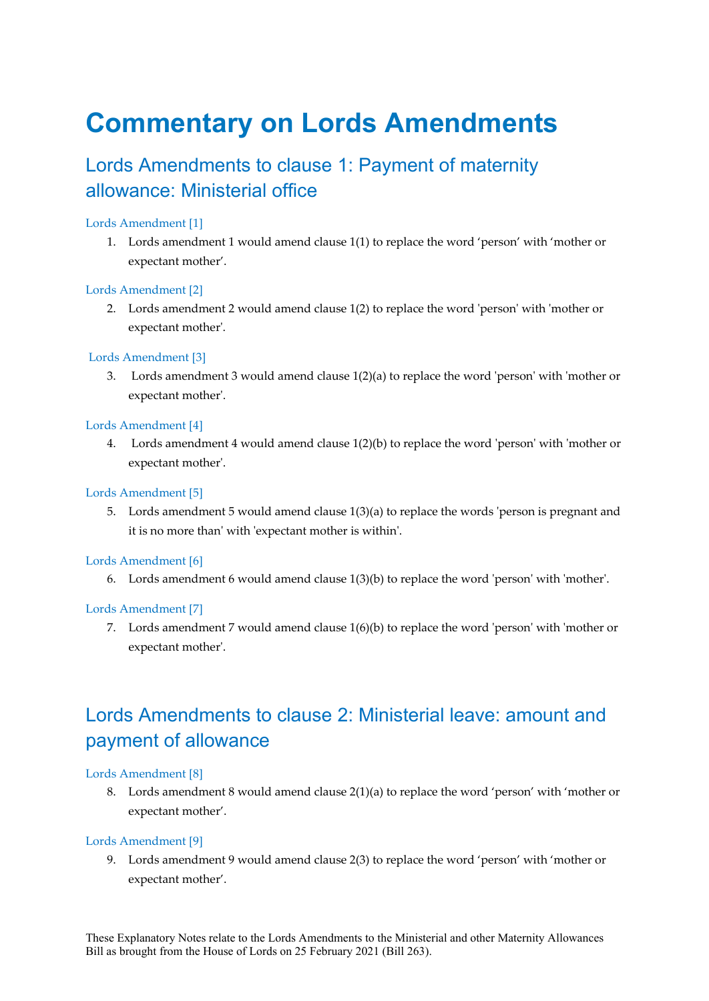## **Commentary on Lords Amendments**

### Lords Amendments to clause 1: Payment of maternity allowance: Ministerial office

#### Lords Amendment [1]

1. Lords amendment 1 would amend clause 1(1) to replace the word 'person' with 'mother or expectant mother'.

#### Lords Amendment [2]

2. Lords amendment 2 would amend clause 1(2) to replace the word 'person' with 'mother or expectant mother'.

#### Lords Amendment [3]

3. Lords amendment 3 would amend clause 1(2)(a) to replace the word 'person' with 'mother or expectant mother'.

#### Lords Amendment [4]

4. Lords amendment 4 would amend clause 1(2)(b) to replace the word 'person' with 'mother or expectant mother'.

#### Lords Amendment [5]

5. Lords amendment 5 would amend clause 1(3)(a) to replace the words 'person is pregnant and it is no more than' with 'expectant mother is within'.

#### Lords Amendment [6]

6. Lords amendment 6 would amend clause 1(3)(b) to replace the word 'person' with 'mother'.

#### Lords Amendment [7]

7. Lords amendment 7 would amend clause 1(6)(b) to replace the word 'person' with 'mother or expectant mother'.

### Lords Amendments to clause 2: Ministerial leave: amount and payment of allowance

#### Lords Amendment [8]

8. Lords amendment 8 would amend clause 2(1)(a) to replace the word 'person' with 'mother or expectant mother'.

#### Lords Amendment [9]

9. Lords amendment 9 would amend clause 2(3) to replace the word 'person' with 'mother or expectant mother'.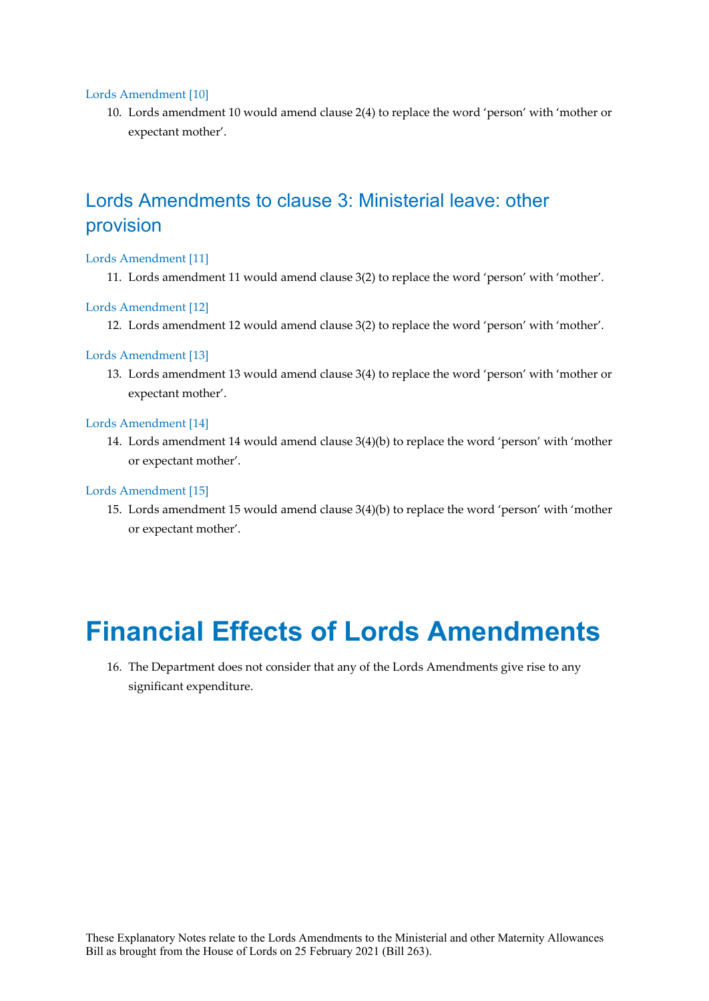#### Lords Amendment [10]

10. Lords amendment 10 would amend clause 2(4) to replace the word 'person' with 'mother or expectant mother'.

### Lords Amendments to clause 3: Ministerial leave: other provision

#### Lords Amendment [11]

11. Lords amendment 11 would amend clause 3(2) to replace the word 'person' with 'mother'.

#### Lords Amendment [12]

12. Lords amendment 12 would amend clause 3(2) to replace the word 'person' with 'mother'.

#### Lords Amendment [13]

13. Lords amendment 13 would amend clause 3(4) to replace the word 'person' with 'mother or expectant mother'.

#### Lords Amendment [14]

14. Lords amendment 14 would amend clause 3(4)(b) to replace the word 'person' with 'mother or expectant mother'.

#### Lords Amendment [15]

15. Lords amendment 15 would amend clause 3(4)(b) to replace the word 'person' with 'mother or expectant mother'.

### **Financial Effects of Lords Amendments**

16. The Department does not consider that any of the Lords Amendments give rise to any significant expenditure.